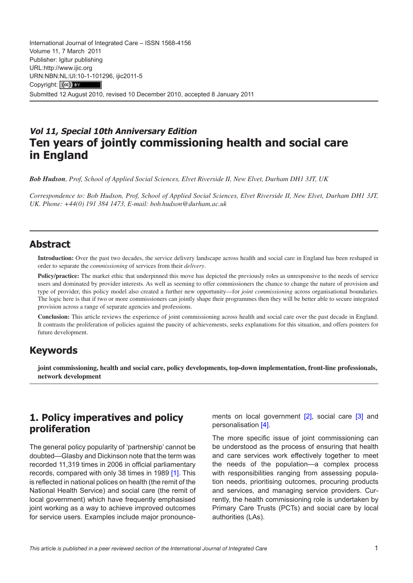International Journal of Integrated Care – ISSN 1568-4156 Volume 11, 7 March 2011 Publisher: Igitur publishing URL[:http://www.ijic.org](mailto:http://www.ijic.org) URN:NBN[:NL:UI:10-1-1012](http://creativecommons.org/licenses/by/3.0/)96, ijic2011-5 Copyright: (cc) Submitted 12 August 2010, revised 10 December 2010, accepted 8 January 2011

# **Vol 11, Special 10th Anniversary Edition Ten years of jointly commissioning health and social care in England**

*Bob Hudson, Prof, School of Applied Social Sciences, Elvet Riverside II, New Elvet, Durham DH1 3JT, UK*

*Correspondence to: Bob Hudson, Prof, School of Applied Social Sciences, Elvet Riverside II, New Elvet, Durham DH1 3JT, UK. Phone: +44(0) 191 384 1473, E-mail: [bob.hudson@durham.ac.uk](mailto:bob.hudson@durham.ac.uk)*

### **Abstract**

**Introduction:** Over the past two decades, the service delivery landscape across health and social care in England has been reshaped in order to separate the *commissioning* of services from their *delivery*.

Policy/practice: The market ethic that underpinned this move has depicted the previously roles as unresponsive to the needs of service users and dominated by provider interests. As well as seeming to offer commissioners the chance to change the nature of provision and type of provider, this policy model also created a further new opportunity—for *joint commissioning* across organisational boundaries. The logic here is that if two or more commissioners can jointly shape their programmes then they will be better able to secure integrated provision across a range of separate agencies and professions.

**Conclusion:** This article reviews the experience of joint commissioning across health and social care over the past decade in England. It contrasts the proliferation of policies against the paucity of achievements, seeks explanations for this situation, and offers pointers for future development.

## **Keywords**

**joint commissioning, health and social care, policy developments, top-down implementation, front-line professionals, network development**

## **1. Policy imperatives and policy proliferation**

The general policy popularity of 'partnership' cannot be doubted—Glasby and Dickinson note that the term was recorded 11,319 times in 2006 in official parliamentary records, compared with only 38 times in 1989 [\[1](#page-6-0)]. This is reflected in national polices on health (the remit of the National Health Service) and social care (the remit of local government) which have frequently emphasised joint working as a way to achieve improved outcomes for service users. Examples include major pronouncements on local government [\[2\]](#page-6-0), social care [[3](#page-6-0)] and personalisation [[4](#page-6-0)].

The more specific issue of joint commissioning can be understood as the process of ensuring that health and care services work effectively together to meet the needs of the population—a complex process with responsibilities ranging from assessing population needs, prioritising outcomes, procuring products and services, and managing service providers. Currently, the health commissioning role is undertaken by Primary Care Trusts (PCTs) and social care by local authorities (LAs).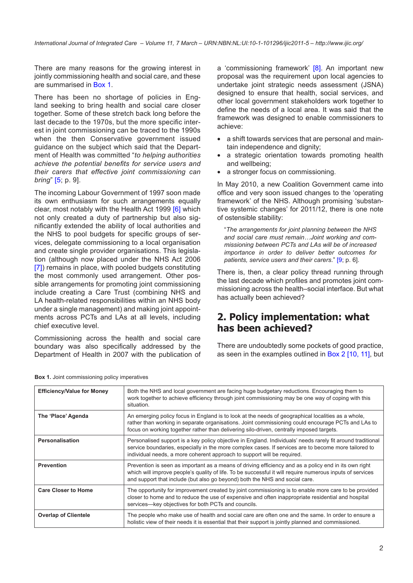There are many reasons for the growing interest in jointly commissioning health and social care, and these are summarised in Box 1.

There has been no shortage of policies in England seeking to bring health and social care closer together. Some of these stretch back long before the last decade to the 1970s, but the more specific interest in joint commissioning can be traced to the 1990s when the then Conservative government issued guidance on the subject which said that the Department of Health was committed "*to helping authorities achieve the potential benefits for service users and their carers that effective joint commissioning can bring*" [[5;](#page-6-0) p. 9].

The incoming Labour Government of 1997 soon made its own enthusiasm for such arrangements equally clear, most notably with the Health Act 1999 [\[6\]](#page-6-0) which not only created a duty of partnership but also significantly extended the ability of local authorities and the NHS to pool budgets for specific groups of services, delegate commissioning to a local organisation and create single provider organisations. This legislation (although now placed under the NHS Act 2006 [\[7](#page-6-0)]) remains in place, with pooled budgets constituting the most commonly used arrangement. Other possible arrangements for promoting joint commissioning include creating a Care Trust (combining NHS and LA health-related responsibilities within an NHS body under a single management) and making joint appointments across PCTs and LAs at all levels, including chief executive level.

Commissioning across the health and social care boundary was also specifically addressed by the Department of Health in 2007 with the publication of a 'commissioning framework' [\[8\]](#page-6-0). An important new proposal was the requirement upon local agencies to undertake joint strategic needs assessment (JSNA) designed to ensure that health, social services, and other local government stakeholders work together to define the needs of a local area. It was said that the framework was designed to enable commissioners to achieve:

- a shift towards services that are personal and maintain independence and dignity;
- a strategic orientation towards promoting health and wellbeing;
- a stronger focus on commissioning.

In May 2010, a new Coalition Government came into office and very soon issued changes to the 'operating framework' of the NHS. Although promising 'substantive systemic changes' for 2011/12, there is one note of ostensible stability:

"*The arrangements for joint planning between the NHS and social care must remain…Joint working and commissioning between PCTs and LAs will be of increased importance in order to deliver better outcomes for patients, service users and their carers*." [\[9](#page-7-0); p. 6].

There is, then, a clear policy thread running through the last decade which profiles and promotes joint commissioning across the health–social interface. But what has actually been achieved?

## **2. Policy implementation: what has been achieved?**

There are undoubtedly some pockets of good practice, as seen in the examples outlined in [Box 2](#page-2-0) [\[10, 11\]](#page-7-0), but

| <b>Efficiency/Value for Money</b> | Both the NHS and local government are facing huge budgetary reductions. Encouraging them to<br>work together to achieve efficiency through joint commissioning may be one way of coping with this<br>situation.                                                                                      |
|-----------------------------------|------------------------------------------------------------------------------------------------------------------------------------------------------------------------------------------------------------------------------------------------------------------------------------------------------|
| The 'Place' Agenda                | An emerging policy focus in England is to look at the needs of geographical localities as a whole,<br>rather than working in separate organisations. Joint commissioning could encourage PCTs and LAs to<br>focus on working together rather than delivering silo-driven, centrally imposed targets. |
| Personalisation                   | Personalised support is a key policy objective in England. Individuals' needs rarely fit around traditional<br>service boundaries, especially in the more complex cases. If services are to become more tailored to<br>individual needs, a more coherent approach to support will be required.       |
| <b>Prevention</b>                 | Prevention is seen as important as a means of driving efficiency and as a policy end in its own right<br>which will improve people's quality of life. To be successful it will require numerous inputs of services<br>and support that include (but also go beyond) both the NHS and social care.    |
| <b>Care Closer to Home</b>        | The opportunity for improvement created by joint commissioning is to enable more care to be provided<br>closer to home and to reduce the use of expensive and often inappropriate residential and hospital<br>services-key objectives for both PCTs and councils.                                    |
| <b>Overlap of Clientele</b>       | The people who make use of health and social care are often one and the same. In order to ensure a<br>holistic view of their needs it is essential that their support is jointly planned and commissioned.                                                                                           |

**Box 1.** Joint commissioning policy imperatives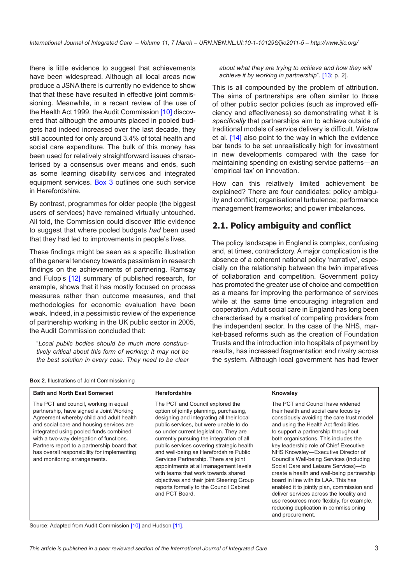<span id="page-2-0"></span>there is little evidence to suggest that achievements have been widespread. Although all local areas now produce a JSNA there is currently no evidence to show that that these have resulted in effective joint commissioning. Meanwhile, in a recent review of the use of the Health Act 1999, the Audit Commission [\[10](#page-7-0)] discovered that although the amounts placed in pooled budgets had indeed increased over the last decade, they still accounted for only around 3.4% of total health and social care expenditure. The bulk of this money has been used for relatively straightforward issues characterised by a consensus over means and ends, such as some learning disability services and integrated equipment services. [Box 3](#page-3-0) outlines one such service in Herefordshire.

By contrast, programmes for older people (the biggest users of services) have remained virtually untouched. All told, the Commission could discover little evidence to suggest that where pooled budgets *had* been used that they had led to improvements in people's lives.

These findings might be seen as a specific illustration of the general tendency towards pessimism in research findings on the achievements of partnering. Ramsay and Fulop's [\[12](#page-7-0)] summary of published research, for example, shows that it has mostly focused on process measures rather than outcome measures, and that methodologies for economic evaluation have been weak. Indeed, in a pessimistic review of the experience of partnership working in the UK public sector in 2005, the Audit Commission concluded that:

"*Local public bodies should be much more constructively critical about this form of working: it may not be the best solution in every case. They need to be clear*  *about what they are trying to achieve and how they will achieve it by working in partnership*"*.* [\[13](#page-7-0); p. 2].

This is all compounded by the problem of attribution. The aims of partnerships are often similar to those of other public sector policies (such as improved efficiency and effectiveness) so demonstrating what it is *specifically* that partnerships aim to achieve outside of traditional models of service delivery is difficult. Wistow et al. [\[14\]](#page-7-0) also point to the way in which the evidence bar tends to be set unrealistically high for investment in new developments compared with the case for maintaining spending on existing service patterns—an 'empirical tax' on innovation.

How can this relatively limited achievement be explained? There are four candidates: policy ambiguity and conflict; organisational turbulence; performance management frameworks; and power imbalances.

### **2.1. Policy ambiguity and conflict**

The policy landscape in England is complex, confusing and, at times, contradictory. A major complication is the absence of a coherent national policy 'narrative', especially on the relationship between the twin imperatives of collaboration and competition. Government policy has promoted the greater use of choice and competition as a means for improving the performance of services while at the same time encouraging integration and cooperation. Adult social care in England has long been characterised by a market of competing providers from the independent sector. In the case of the NHS, market-based reforms such as the creation of Foundation Trusts and the introduction into hospitals of payment by results, has increased fragmentation and rivalry across the system. Although local government has had fewer

#### **Box 2.** Illustrations of Joint Commissioning

| <b>Bath and North East Somerset</b>                                                                                                                                                                                                                                                                                                                                                          | <b>Herefordshire</b>                                                                                                                                                                                                                                                                                                                                                                                                                                                                                                                                                                | Knowsley                                                                                                                                                                                                                                                                                                                                                                                                                                                                                                                                                                                                                                                                                                       |
|----------------------------------------------------------------------------------------------------------------------------------------------------------------------------------------------------------------------------------------------------------------------------------------------------------------------------------------------------------------------------------------------|-------------------------------------------------------------------------------------------------------------------------------------------------------------------------------------------------------------------------------------------------------------------------------------------------------------------------------------------------------------------------------------------------------------------------------------------------------------------------------------------------------------------------------------------------------------------------------------|----------------------------------------------------------------------------------------------------------------------------------------------------------------------------------------------------------------------------------------------------------------------------------------------------------------------------------------------------------------------------------------------------------------------------------------------------------------------------------------------------------------------------------------------------------------------------------------------------------------------------------------------------------------------------------------------------------------|
| The PCT and council, working in equal<br>partnership, have signed a Joint Working<br>Agreement whereby child and adult health<br>and social care and housing services are<br>integrated using pooled funds combined<br>with a two-way delegation of functions.<br>Partners report to a partnership board that<br>has overall responsibility for implementing<br>and monitoring arrangements. | The PCT and Council explored the<br>option of jointly planning, purchasing,<br>designing and integrating all their local<br>public services, but were unable to do<br>so under current legislation. They are<br>currently pursuing the integration of all<br>public services covering strategic health<br>and well-being as Herefordshire Public<br>Services Partnership. There are joint<br>appointments at all management levels<br>with teams that work towards shared<br>objectives and their joint Steering Group<br>reports formally to the Council Cabinet<br>and PCT Board. | The PCT and Council have widened<br>their health and social care focus by<br>consciously avoiding the care trust model<br>and using the Health Act flexibilities<br>to support a partnership throughout<br>both organisations. This includes the<br>key leadership role of Chief Executive<br>NHS Knowsley-Executive Director of<br>Council's Well-being Services (including<br>Social Care and Leisure Services)-to<br>create a health and well-being partnership<br>board in line with its LAA. This has<br>enabled it to jointly plan, commission and<br>deliver services across the locality and<br>use resources more flexibly, for example,<br>reducing duplication in commissioning<br>and procurement. |

Source: Adapted from Audit Commission [[10\]](#page-7-0) and Hudson [[11](#page-7-0)].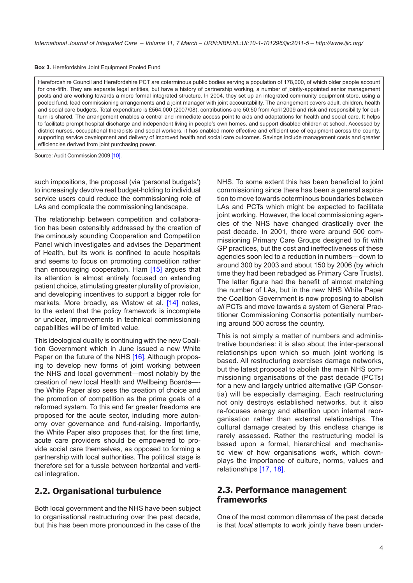<span id="page-3-0"></span>**Box 3.** Herefordshire Joint Equipment Pooled Fund

Herefordshire Council and Herefordshire PCT are coterminous public bodies serving a population of 178,000, of which older people account for one-fifth. They are separate legal entities, but have a history of partnership working, a number of jointly-appointed senior management posts and are working towards a more formal integrated structure. In 2004, they set up an integrated community equipment store, using a pooled fund, lead commissioning arrangements and a joint manager with joint accountability. The arrangement covers adult, children, health and social care budgets. Total expenditure is £564,000 (2007/08), contributions are 50:50 from April 2009 and risk and responsibility for outturn is shared. The arrangement enables a central and immediate access point to aids and adaptations for health and social care. It helps to facilitate prompt hospital discharge and independent living in people's own homes, and support disabled children at school. Accessed by district nurses, occupational therapists and social workers, it has enabled more effective and efficient use of equipment across the county, supporting service development and delivery of improved health and social care outcomes. Savings include management costs and greater efficiencies derived from joint purchasing power.

Source: Audit Commission 2009 [\[10\]](#page-7-0).

such impositions, the proposal (via 'personal budgets') to increasingly devolve real budget-holding to individual service users could reduce the commissioning role of LAs and complicate the commissioning landscape.

The relationship between competition and collaboration has been ostensibly addressed by the creation of the ominously sounding Cooperation and Competition Panel which investigates and advises the Department of Health, but its work is confined to acute hospitals and seems to focus on promoting competition rather than encouraging cooperation. Ham [[15\]](#page-7-0) argues that its attention is almost entirely focused on extending patient choice, stimulating greater plurality of provision, and developing incentives to support a bigger role for markets. More broadly, as Wistow et al. [\[14](#page-7-0)] notes, to the extent that the policy framework is incomplete or unclear, improvements in technical commissioning capabilities will be of limited value.

This ideological duality is continuing with the new Coalition Government which in June issued a new White Paper on the future of the NHS [[16\]](#page-7-0). Although proposing to develop new forms of joint working between the NHS and local government—most notably by the creation of new local Health and Wellbeing Boardsthe White Paper also sees the creation of choice and the promotion of competition as the prime goals of a reformed system. To this end far greater freedoms are proposed for the acute sector, including more autonomy over governance and fund-raising. Importantly, the White Paper also proposes that, for the first time, acute care providers should be empowered to provide social care themselves, as opposed to forming a partnership with local authorities. The political stage is therefore set for a tussle between horizontal and vertical integration.

#### **2.2. Organisational turbulence**

Both local government and the NHS have been subject to organisational restructuring over the past decade, but this has been more pronounced in the case of the

NHS. To some extent this has been beneficial to joint commissioning since there has been a general aspiration to move towards coterminous boundaries between LAs and PCTs which might be expected to facilitate joint working. However, the local commissioning agencies of the NHS have changed drastically over the past decade. In 2001, there were around 500 commissioning Primary Care Groups designed to fit with GP practices, but the cost and ineffectiveness of these agencies soon led to a reduction in numbers—down to around 300 by 2003 and about 150 by 2006 (by which time they had been rebadged as Primary Care Trusts). The latter figure had the benefit of almost matching the number of LAs, but in the new NHS White Paper the Coalition Government is now proposing to abolish *all* PCTs and move towards a system of General Practitioner Commissioning Consortia potentially numbering around 500 across the country.

This is not simply a matter of numbers and administrative boundaries: it is also about the inter-personal relationships upon which so much joint working is based. All restructuring exercises damage networks, but the latest proposal to abolish the main NHS commissioning organisations of the past decade (PCTs) for a new and largely untried alternative (GP Consortia) will be especially damaging. Each restructuring not only destroys established networks, but it also re-focuses energy and attention upon internal reorganisation rather than external relationships. The cultural damage created by this endless change is rarely assessed. Rather the restructuring model is based upon a formal, hierarchical and mechanistic view of how organisations work, which downplays the importance of culture, norms, values and relationships [[17, 18\]](#page-7-0).

#### **2.3. Performance management frameworks**

One of the most common dilemmas of the past decade is that *local* attempts to work jointly have been under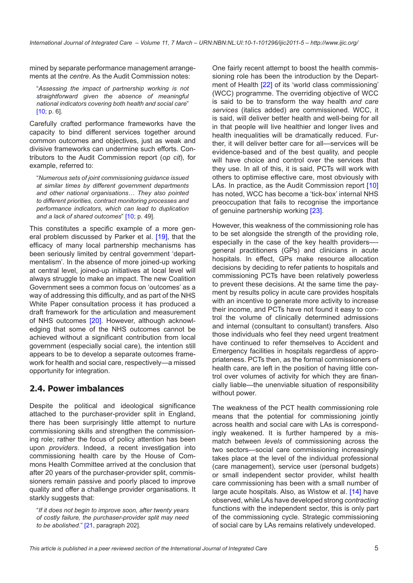mined by separate performance management arrangements at the *centre.* As the Audit Commission notes:

"*Assessing the impact of partnership working is not straightforward given the absence of meaningful national indicators covering both health and social care*" [\[10](#page-7-0); p. 6].

Carefully crafted performance frameworks have the capacity to bind different services together around common outcomes and objectives, just as weak and divisive frameworks can undermine such efforts. Contributors to the Audit Commission report (*op cit*), for example, referred to:

"*Numerous sets of joint commissioning guidance issued at similar times by different government departments and other national organisations… They also pointed to different priorities, contract monitoring processes and performance indicators, which can lead to duplication and a lack of shared outcomes*" [\[10](#page-7-0); p. 49].

This constitutes a specific example of a more general problem discussed by Parker et al. [\[19\]](#page-7-0), that the efficacy of many local partnership mechanisms has been seriously limited by central government 'departmentalism'. In the absence of more joined-up working at central level, joined-up initiatives at local level will always struggle to make an impact. The new Coalition Government sees a common focus on 'outcomes' as a way of addressing this difficulty, and as part of the NHS White Paper consultation process it has produced a draft framework for the articulation and measurement of NHS outcomes [\[20](#page-7-0)]. However, although acknowledging that some of the NHS outcomes cannot be achieved without a significant contribution from local government (especially social care), the intention still appears to be to develop a separate outcomes framework for health and social care, respectively—a missed opportunity for integration.

### **2.4. Power imbalances**

Despite the political and ideological significance attached to the purchaser-provider split in England, there has been surprisingly little attempt to nurture commissioning skills and strengthen the commissioning role; rather the focus of policy attention has been upon *providers*. Indeed, a recent investigation into commissioning health care by the House of Commons Health Committee arrived at the conclusion that after 20 years of the purchaser-provider split, commissioners remain passive and poorly placed to improve quality and offer a challenge provider organisations. It starkly suggests that:

"*If it does not begin to improve soon, after twenty years of costly failure, the purchaser-provider split may need to be abolished*." [\[21](#page-7-0), paragraph 202].

One fairly recent attempt to boost the health commissioning role has been the introduction by the Department of Health [[22\]](#page-7-0) of its 'world class commissioning' (WCC) programme. The overriding objective of WCC is said to be to transform the way health *and care services* (italics added) are commissioned. WCC, it is said, will deliver better health and well-being for all in that people will live healthier and longer lives and health inequalities will be dramatically reduced. Further, it will deliver better care for all—services will be evidence-based and of the best quality, and people will have choice and control over the services that they use. In all of this, it is said, PCTs will work with others to optimise effective care, most obviously with LAs. In practice, as the Audit Commission report [[10\]](#page-7-0) has noted, WCC has become a 'tick-box' internal NHS preoccupation that fails to recognise the importance of genuine partnership working [[23](#page-7-0)].

However, this weakness of the commissioning role has to be set alongside the strength of the providing role, especially in the case of the key health providersgeneral practitioners (GPs) and clinicians in acute hospitals. In effect, GPs make resource allocation decisions by deciding to refer patients to hospitals and commissioning PCTs have been relatively powerless to prevent these decisions. At the same time the payment by results policy in acute care provides hospitals with an incentive to generate more activity to increase their income, and PCTs have not found it easy to control the volume of clinically determined admissions and internal (consultant to consultant) transfers. Also those individuals who feel they need urgent treatment have continued to refer themselves to Accident and Emergency facilities in hospitals regardless of appropriateness. PCTs then, as the formal commissioners of health care, are left in the position of having little control over volumes of activity for which they are financially liable—the unenviable situation of responsibility without power.

The weakness of the PCT health commissioning role means that the potential for commissioning jointly across health and social care with LAs is correspondingly weakened. It is further hampered by a mismatch between *levels* of commissioning across the two sectors—social care commissioning increasingly takes place at the level of the individual professional (care management), service user (personal budgets) or small independent sector provider, whilst health care commissioning has been with a small number of large acute hospitals. Also, as Wistow et al. [[14\]](#page-7-0) have observed, while LAs have developed strong *contracting* functions with the independent sector, this is only part of the commissioning cycle. Strategic commissioning of social care by LAs remains relatively undeveloped.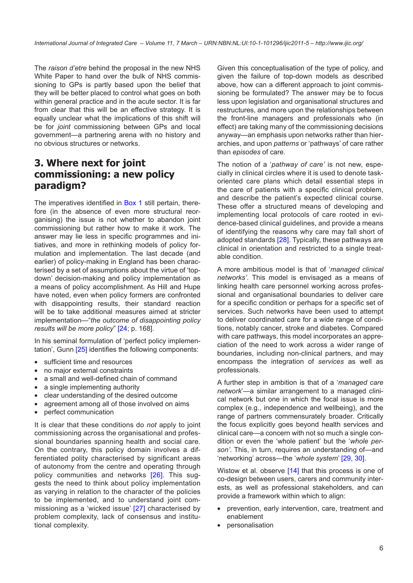The *raison d'etre* behind the proposal in the new NHS White Paper to hand over the bulk of NHS commissioning to GPs is partly based upon the belief that they will be better placed to control what goes on both within general practice and in the acute sector. It is far from clear that this will be an effective strategy. It is equally unclear what the implications of this shift will be for *joint* commissioning between GPs and local government—a partnering arena with no history and no obvious structures or networks.

## **3. Where next for joint commissioning: a new policy paradigm?**

The imperatives identified in [Box 1](#page-7-0) still pertain, therefore (in the absence of even more structural reorganising) the issue is not whether to abandon joint commissioning but rather how to make it work. The answer may lie less in specific programmes and initiatives, and more in rethinking models of policy formulation and implementation. The last decade (and earlier) of policy-making in England has been characterised by a set of assumptions about the virtue of 'topdown' decision-making and policy implementation as a means of policy accomplishment. As Hill and Hupe have noted, even when policy formers are confronted with disappointing results, their standard reaction will be to take additional measures aimed at stricter implementation—"*the outcome of disappointing policy results will be more policy*" [\[24;](#page-7-0) p. 168].

In his seminal formulation of 'perfect policy implementation', Gunn [[25\]](#page-7-0) identifies the following components:

- sufficient time and resources
- no major external constraints
- a small and well-defined chain of command
- a single implementing authority
- clear understanding of the desired outcome
- agreement among all of those involved on aims
- perfect communication

It is clear that these conditions do *not* apply to joint commissioning across the organisational and professional boundaries spanning health and social care. On the contrary, this policy domain involves a differentiated polity characterised by significant areas of autonomy from the centre and operating through policy communities and networks [[26\]](#page-7-0). This suggests the need to think about policy implementation as varying in relation to the character of the policies to be implemented, and to understand joint commissioning as a 'wicked issue' [[27\]](#page-7-0) characterised by problem complexity, lack of consensus and institutional complexity.

Given this conceptualisation of the type of policy, and given the failure of top-down models as described above, how can a different approach to joint commissioning be formulated? The answer may be to focus less upon legislation and organisational structures and restructures, and more upon the relationships between the front-line managers and professionals who (in effect) are taking many of the commissioning decisions anyway—an emphasis upon networks rather than hierarchies, and upon *patterns* or 'pathways' of care rather than *episodes* of care.

The notion of a '*pathway of care'* is not new, especially in clinical circles where it is used to denote taskoriented care plans which detail essential steps in the care of patients with a specific clinical problem, and describe the patient's expected clinical course. These offer a structured means of developing and implementing local protocols of care rooted in evidence-based clinical guidelines, and provide a means of identifying the reasons why care may fall short of adopted standards [\[28\]](#page-7-0). Typically, these pathways are clinical in orientation and restricted to a single treatable condition.

A more ambitious model is that of '*managed clinical networks'*. This model is envisaged as a means of linking health care personnel working across professional and organisational boundaries to deliver care for a specific condition or perhaps for a specific set of services. Such networks have been used to attempt to deliver coordinated care for a wide range of conditions, notably cancer, stroke and diabetes. Compared with care pathways, this model incorporates an appreciation of the need to work across a wider range of boundaries, including non-clinical partners, and may encompass the integration of *services* as well as professionals.

A further step in ambition is that of a '*managed care network*'—a similar arrangement to a managed clinical network but one in which the focal issue is more complex (e.g., independence and wellbeing), and the range of partners commensurately broader. Critically the focus explicitly goes beyond health services and clinical care—a concern with not so much a single condition or even the 'whole patient' but the '*whole person'*. This, in turn, requires an understanding of—and 'networking' across—the '*whole system*' [[29, 30\]](#page-7-0).

Wistow et al. observe [\[14](#page-7-0)] that this process is one of co-design between users, carers and community interests, as well as professional stakeholders, and can provide a framework within which to align:

- prevention, early intervention, care, treatment and enablement
- **personalisation**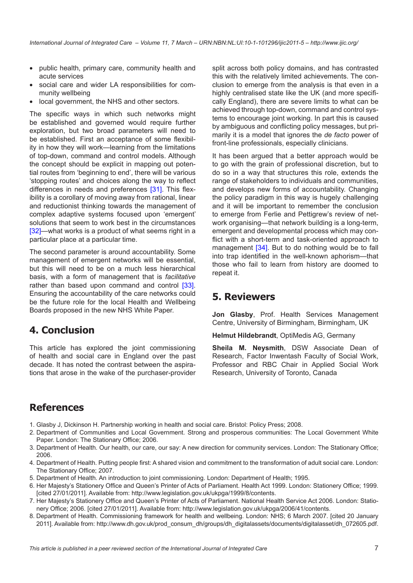- <span id="page-6-0"></span>• public health, primary care, community health and acute services
- social care and wider LA responsibilities for community wellbeing
- local government, the NHS and other sectors.

The specific ways in which such networks might be established and governed would require further exploration, but two broad parameters will need to be established. First an acceptance of some flexibility in how they will work—learning from the limitations of top-down, command and control models. Although the concept should be explicit in mapping out potential routes from 'beginning to end', there will be various 'stopping routes' and choices along the way to reflect differences in needs and preferences [\[31\]](#page-7-0). This flexibility is a corollary of moving away from rational, linear and reductionist thinking towards the management of complex adaptive systems focused upon 'emergent' solutions that seem to work best in the circumstances [\[32](#page-7-0)]—what works is a product of what seems right in a particular place at a particular time.

The second parameter is around accountability. Some management of emergent networks will be essential, but this will need to be on a much less hierarchical basis, with a form of management that is *facilitative* rather than based upon command and control [\[33\]](#page-7-0). Ensuring the accountability of the care networks could be the future role for the local Health and Wellbeing Boards proposed in the new NHS White Paper.

### **4. Conclusion**

This article has explored the joint commissioning of health and social care in England over the past decade. It has noted the contrast between the aspirations that arose in the wake of the purchaser-provider

split across both policy domains, and has contrasted this with the relatively limited achievements. The conclusion to emerge from the analysis is that even in a highly centralised state like the UK (and more specifically England), there are severe limits to what can be achieved through top-down, command and control systems to encourage joint working. In part this is caused by ambiguous and conflicting policy messages, but primarily it is a model that ignores the *de facto* power of front-line professionals, especially clinicians.

It has been argued that a better approach would be to go with the grain of professional discretion, but to do so in a way that structures this role, extends the range of stakeholders to individuals and communities, and develops new forms of accountability. Changing the policy paradigm in this way is hugely challenging and it will be important to remember the conclusion to emerge from Ferlie and Pettigrew's review of network organising—that network building is a long-term, emergent and developmental process which may conflict with a short-term and task-oriented approach to management [[34\]](#page-7-0). But to do nothing would be to fall into trap identified in the well-known aphorism—that those who fail to learn from history are doomed to repeat it.

### **5. Reviewers**

**Jon Glasby**, Prof. Health Services Management Centre, University of Birmingham, Birmingham, UK

**Helmut Hildebrandt**, OptiMedis AG, Germany

**Sheila M. Neysmith**, DSW Associate Dean of Research, Factor Inwentash Faculty of Social Work, Professor and RBC Chair in Applied Social Work Research, University of Toronto, Canada

### **References**

- 1. Glasby J, Dickinson H. Partnership working in health and social care. Bristol: Policy Press; 2008.
- 2. Department of Communities and Local Government. Strong and prosperous communities: The Local Government White Paper. London: The Stationary Office; 2006.
- 3. Department of Health. Our health, our care, our say: A new direction for community services. London: The Stationary Office; 2006.
- 4. Department of Health. Putting people first: A shared vision and commitment to the transformation of adult social care. London: The Stationary Office; 2007.
- 5. Department of Health. An introduction to joint commissioning. London: Department of Health; 1995.
- 6. Her Majesty's Stationery Office and Queen's Printer of Acts of Parliament. Health Act 1999. London: Stationery Office; 1999. [cited 27/01/2011]. Available from: [http://www.legislation.gov.uk/ukpga/1999/8/contents.](http://www.legislation.gov.uk/ukpga/1999/8/contents)
- 7. Her Majesty's Stationery Office and Queen's Printer of Acts of Parliament. National Health Service Act 2006. London: Stationery Office; 2006. [cited 27/01/2011]. Available from: <http://www.legislation.gov.uk/ukpga/2006/41/contents>.
- 8. Department of Health. Commissioning framework for health and wellbeing. London: NHS; 6 March 2007. [cited 20 January 2011]. Available from: [http://www.dh.gov.uk/prod\\_consum\\_dh/groups/dh\\_digitalassets/documents/digitalasset/dh\\_072605.pdf](http://www.dh.gov.uk/prod_consum_dh/groups/dh_digitalassets/documents/digitalasset/dh_072605.pdf).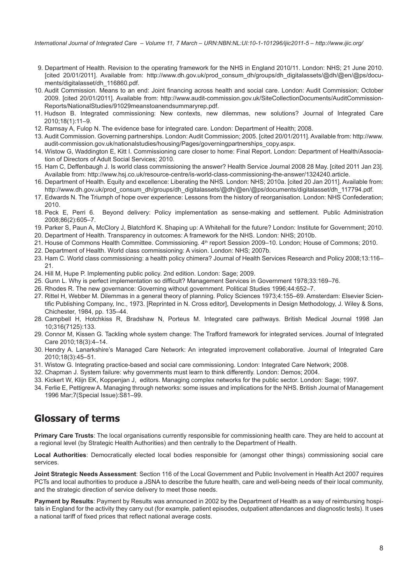- <span id="page-7-0"></span>9. Department of Health. Revision to the operating framework for the NHS in England 2010/11. London: NHS; 21 June 2010. [cited 20/01/2011]. Available from: [http://www.dh.gov.uk/prod\\_consum\\_dh/groups/dh\\_digitalassets/@dh/@en/@ps/docu](mailto:http://www.dh.gov.uk/prod_consum_dh/groups/dh_digitalassets/@dh/@en/@ps/documents/digitalasset/dh_116860.pdf)[ments/digitalasset/dh\\_116860.pdf.](mailto:http://www.dh.gov.uk/prod_consum_dh/groups/dh_digitalassets/@dh/@en/@ps/documents/digitalasset/dh_116860.pdf)
- 10. Audit Commission. Means to an end: Joint financing across health and social care. London: Audit Commission; October 2009. [cited 20/01/2011]. Available from: [http://www.audit-commission.gov.uk/SiteCollectionDocuments/AuditCommission-](http://www.audit-commission.gov.uk/SiteCollectionDocuments/AuditCommissionReports/NationalStudies/91029meanstoanendsummaryrep.pdf)[Reports/NationalStudies/91029meanstoanendsummaryrep.pdf](http://www.audit-commission.gov.uk/SiteCollectionDocuments/AuditCommissionReports/NationalStudies/91029meanstoanendsummaryrep.pdf).
- 11. Hudson B. Integrated commissioning: New contexts, new dilemmas, new solutions? Journal of Integrated Care 2010;18(1):11–9.
- 12. Ramsay A, Fulop N. The evidence base for integrated care. London: Department of Health; 2008.
- 13. Audit Commission. Governing partnerships. London: Audit Commission; 2005. [cited 20/01/2011]. Available from: [http://www.](http://www.audit-commission.gov.uk/nationalstudies/housing/Pages/governingpartnerships_copy.aspx) [audit-commission.gov.uk/nationalstudies/housing/Pages/governingpartnerships\\_copy.aspx](http://www.audit-commission.gov.uk/nationalstudies/housing/Pages/governingpartnerships_copy.aspx).
- 14. Wistow G, Waddington E, Kitt I. Commissioning care closer to home: Final Report. London: Department of Health/Association of Directors of Adult Social Services; 2010.
- 15. Ham C, Deffenbaugh J. Is world class commissioning the answer? Health Service Journal 2008 28 May. [cited 2011 Jan 23]. Available from: [http://www.hsj.co.uk/resource-centre/is-world-class-commissioning-the-answer/1324240.article.](http://www.hsj.co.uk/resource-centre/is-world-class-commissioning-the-answer/1324240.article)
- 16. Department of Health. Equity and excellence: Liberating the NHS. London: NHS; 2010a. [cited 20 Jan 2011]. Available from: [http://www.dh.gov.uk/prod\\_consum\\_dh/groups/dh\\_digitalassets/@dh/@en/@ps/documents/digitalasset/dh\\_117794.pdf](mailto:http://www.dh.gov.uk/prod_consum_dh/groups/dh_digitalassets/@dh/@en/@ps/documents/digitalasset/dh_117794.pdf).
- 17. Edwards N. The Triumph of hope over experience: Lessons from the history of reorganisation. London: NHS Confederation; 2010.
- 18. Peck E, Perri 6. Beyond delivery: Policy implementation as sense-making and settlement. Public Administration 2008;86(2):605–7.
- 19. Parker S, Paun A, McClory J, Blatchford K. Shaping up: A Whitehall for the future? London: Institute for Government; 2010.
- 20. Department of Health. Transparency in outcomes: A framework for the NHS. London: NHS; 2010b.
- 21. House of Commons Health Committee. Commissioning. 4th report Session 2009–10. London; House of Commons; 2010.
- 22. Department of Health. World class commissioning: A vision. London: NHS; 2007b.
- 23. Ham C. World class commissioning: a health policy chimera? Journal of Health Services Research and Policy 2008;13:116– 21.
- 24. Hill M, Hupe P. Implementing public policy. 2nd edition. London: Sage; 2009.
- 25. Gunn L. Why is perfect implementation so difficult? Management Services in Government 1978;33:169–76.
- 26. Rhodes R. The new governance: Governing without government. Political Studies 1996;44:652–7.
- 27. Rittel H, Webber M. Dilemmas in a general theory of planning. Policy Sciences 1973;4:155–69. Amsterdam: Elsevier Scientific Publishing Company, Inc., 1973. [Reprinted in N. Cross editor], Developments in Design Methodology, J. Wiley & Sons, Chichester, 1984, pp. 135–44.
- 28. Campbell H, Hotchkiss R, Bradshaw N, Porteus M. Integrated care pathways. British Medical Journal 1998 Jan 10;316(7125):133.
- 29. Connor M, Kissen G. Tackling whole system change: The Trafford framework for integrated services. Journal of Integrated Care 2010;18(3):4–14.
- 30. Hendry A. Lanarkshire's Managed Care Network: An integrated improvement collaborative. Journal of Integrated Care 2010;18(3):45–51.
- 31. Wistow G. Integrating practice-based and social care commissioning. London: Integrated Care Network; 2008.
- 32. Chapman J. System failure: why governments must learn to think differently. London: Demos; 2004.
- 33. Kickert W, Klijn EK, Koppenjan J, editors. Managing complex networks for the public sector. London: Sage; 1997.
- 34. Ferlie E, Pettigrew A. Managing through networks: some issues and implications for the NHS. British Journal of Management 1996 Mar;7(Special Issue):S81–99.

### **Glossary of terms**

**Primary Care Trusts**: The local organisations currently responsible for commissioning health care. They are held to account at a regional level (by Strategic Health Authorities) and then centrally to the Department of Health.

**Local Authorities**: Democratically elected local bodies responsible for (amongst other things) commissioning social care services.

**Joint Strategic Needs Assessment**: Section 116 of the Local Government and Public Involvement in Health Act 2007 requires PCTs and local authorities to produce a JSNA to describe the future health, care and well-being needs of their local community, and the strategic direction of service delivery to meet those needs.

**Payment by Results**: Payment by Results was announced in 2002 by the Department of Health as a way of reimbursing hospitals in England for the activity they carry out (for example, patient episodes, outpatient attendances and diagnostic tests). It uses a national tariff of fixed prices that reflect national average costs.